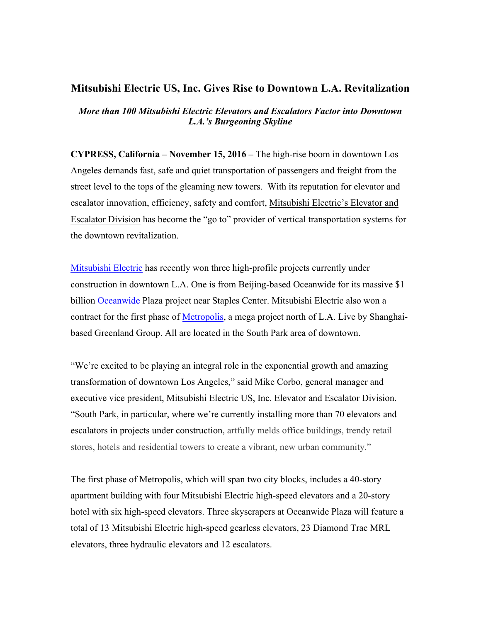## **Mitsubishi Electric US, Inc. Gives Rise to Downtown L.A. Revitalization**

*More than 100 Mitsubishi Electric Elevators and Escalators Factor into Downtown L.A.'s Burgeoning Skyline*

**CYPRESS, California – November 15, 2016 –** The high-rise boom in downtown Los Angeles demands fast, safe and quiet transportation of passengers and freight from the street level to the tops of the gleaming new towers. With its reputation for elevator and escalator innovation, efficiency, safety and comfort, Mitsubishi Electric's Elevator and Escalator Division has become the "go to" provider of vertical transportation systems for the downtown revitalization.

[Mitsubishi Electric](http://us.mitsubishielectric.com/en/index.page) has recently won three high-profile projects currently under construction in downtown L.A. One is from Beijing-based Oceanwide for its massive \$1 billion [Oceanwide](http://collectionatoceanwide.com) Plaza project near Staples Center. Mitsubishi Electric also won a contract for the first phase of [Metropolis,](http://metropolislosangeles.com/) a mega project north of L.A. Live by Shanghaibased Greenland Group. All are located in the South Park area of downtown.

"We're excited to be playing an integral role in the exponential growth and amazing transformation of downtown Los Angeles," said Mike Corbo, general manager and executive vice president, Mitsubishi Electric US, Inc. Elevator and Escalator Division. "South Park, in particular, where we're currently installing more than 70 elevators and escalators in projects under construction, artfully melds office buildings, trendy retail stores, hotels and residential towers to create a vibrant, new urban community."

The first phase of Metropolis, which will span two city blocks, includes a 40-story apartment building with four Mitsubishi Electric high-speed elevators and a 20-story hotel with six high-speed elevators. Three skyscrapers at Oceanwide Plaza will feature a total of 13 Mitsubishi Electric high-speed gearless elevators, 23 Diamond Trac MRL elevators, three hydraulic elevators and 12 escalators.